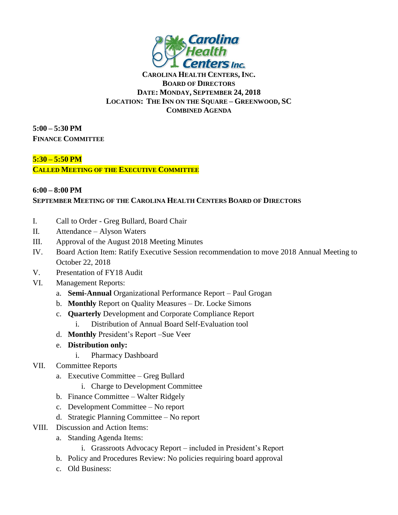

## **CAROLINA HEALTH CENTERS, INC. BOARD OF DIRECTORS DATE: MONDAY, SEPTEMBER 24, 2018 LOCATION: THE INN ON THE SQUARE – GREENWOOD, SC COMBINED AGENDA**

**5:00 – 5:30 PM FINANCE COMMITTEE**

## **5:30 – 5:50 PM**

**CALLED MEETING OF THE EXECUTIVE COMMITTEE**

## **6:00 – 8:00 PM SEPTEMBER MEETING OF THE CAROLINA HEALTH CENTERS BOARD OF DIRECTORS**

- I. Call to Order Greg Bullard, Board Chair
- II. Attendance Alyson Waters
- III. Approval of the August 2018 Meeting Minutes
- IV. Board Action Item: Ratify Executive Session recommendation to move 2018 Annual Meeting to October 22, 2018
- V. Presentation of FY18 Audit
- VI. Management Reports:
	- a. **Semi-Annual** Organizational Performance Report Paul Grogan
	- b. **Monthly** Report on Quality Measures Dr. Locke Simons
	- c. **Quarterly** Development and Corporate Compliance Report
		- i. Distribution of Annual Board Self-Evaluation tool
	- d. **Monthly** President's Report –Sue Veer
	- e. **Distribution only:**
		- i. Pharmacy Dashboard
- VII. Committee Reports
	- a. Executive Committee Greg Bullard
		- i. Charge to Development Committee
	- b. Finance Committee Walter Ridgely
	- c. Development Committee No report
	- d. Strategic Planning Committee No report
- VIII. Discussion and Action Items:
	- a. Standing Agenda Items:
		- i. Grassroots Advocacy Report included in President's Report
		- b. Policy and Procedures Review: No policies requiring board approval
		- c. Old Business: